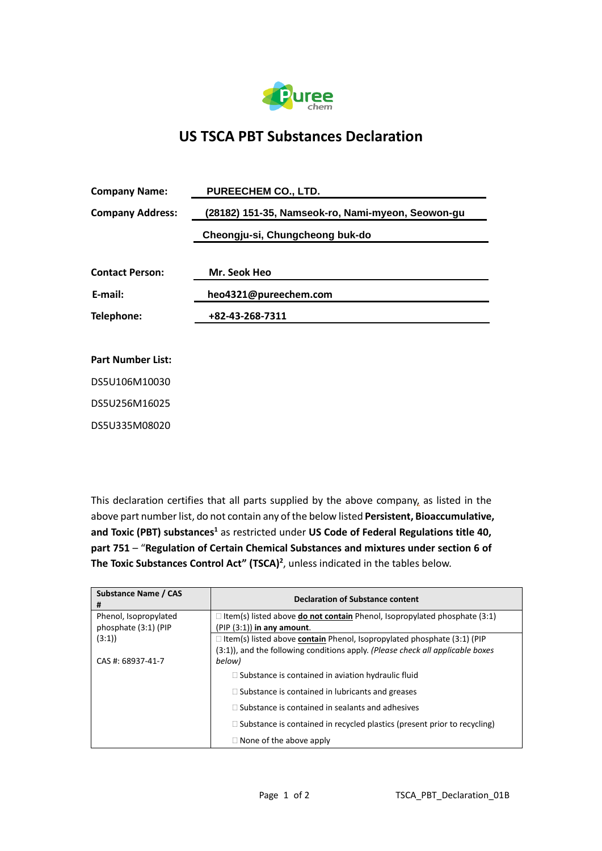

## **US TSCA PBT Substances Declaration**

| <b>Company Name:</b>     | PUREECHEM CO., LTD.                               |  |  |
|--------------------------|---------------------------------------------------|--|--|
| <b>Company Address:</b>  | (28182) 151-35, Namseok-ro, Nami-myeon, Seowon-gu |  |  |
|                          | Cheongju-si, Chungcheong buk-do                   |  |  |
| <b>Contact Person:</b>   | Mr. Seok Heo                                      |  |  |
| E-mail:                  | heo4321@pureechem.com                             |  |  |
| Telephone:               | +82-43-268-7311                                   |  |  |
|                          |                                                   |  |  |
| <b>Part Number List:</b> |                                                   |  |  |
| DS5U106M10030            |                                                   |  |  |
| DS5U256M16025            |                                                   |  |  |

DS5U335M08020

This declaration certifies that all parts supplied by the above company, as listed in the above part number list, do not contain any of the below listed **Persistent, Bioaccumulative, and Toxic (PBT) substances<sup>1</sup>** as restricted under **US Code of Federal Regulations title 40, part 751** – "**Regulation of Certain Chemical Substances and mixtures under section 6 of The Toxic Substances Control Act" (TSCA)<sup>2</sup>** , unless indicated in the tables below.

| Substance Name / CAS<br># | <b>Declaration of Substance content</b>                                                 |
|---------------------------|-----------------------------------------------------------------------------------------|
| Phenol, Isopropylated     | $\Box$ Item(s) listed above <b>do not contain</b> Phenol, Isopropylated phosphate (3:1) |
| phosphate (3:1) (PIP      | $(PIP (3:1))$ in any amount.                                                            |
| (3:1)                     | $\Box$ Item(s) listed above <b>contain</b> Phenol, Isopropylated phosphate (3:1) (PIP   |
|                           | (3:1)), and the following conditions apply. (Please check all applicable boxes          |
| CAS #: 68937-41-7         | below)                                                                                  |
|                           | $\Box$ Substance is contained in aviation hydraulic fluid                               |
|                           | $\Box$ Substance is contained in lubricants and greases                                 |
|                           | $\Box$ Substance is contained in sealants and adhesives                                 |
|                           | $\Box$ Substance is contained in recycled plastics (present prior to recycling)         |
|                           | $\Box$ None of the above apply                                                          |